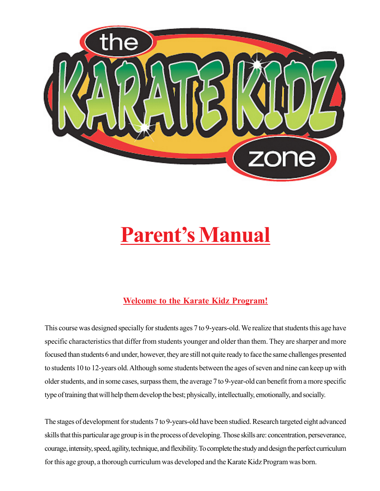

# **Parent's Manual**

## **Welcome to the Karate Kidz Program!**

This course was designed specially for students ages 7 to 9-years-old. We realize that students this age have specific characteristics that differ from students younger and older than them. They are sharper and more focused than students 6 and under, however, they are still not quite ready to face the same challenges presented to students 10 to 12-years old. Although some students between the ages of seven and nine can keep up with older students, and in some cases, surpass them, the average 7 to 9-year-old can benefit from a more specific type of training that will help them develop the best; physically, intellectually, emotionally, and socially.

The stages of development for students 7 to 9-years-old have been studied. Research targeted eight advanced skills that this particular age group is in the process of developing. Those skills are: concentration, perseverance, courage, intensity, speed, agility, technique, and flexibility. To complete the study and design the perfect curriculum for this age group, a thorough curriculum was developed and the Karate Kidz Program was born.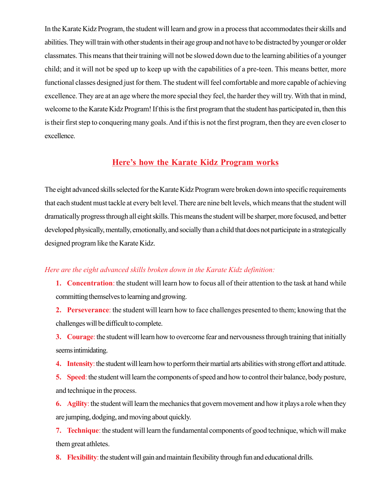In the Karate Kidz Program, the student will learn and grow in a process that accommodates their skills and abilities. They will train with other students in their age group and not have to be distracted by younger or older classmates. This means that their training will not be slowed down due to the learning abilities of a younger child; and it will not be sped up to keep up with the capabilities of a pre-teen. This means better, more functional classes designed just for them. The student will feel comfortable and more capable of achieving excellence. They are at an age where the more special they feel, the harder they will try. With that in mind, welcome to the Karate Kidz Program! If this is the first program that the student has participated in, then this is their first step to conquering many goals. And if this is not the first program, then they are even closer to excellence.

#### **Here's how the Karate Kidz Program works**

The eight advanced skills selected for the Karate Kidz Program were broken down into specific requirements that each student must tackle at every belt level. There are nine belt levels, which means that the student will dramatically progress through all eight skills. This means the student will be sharper, more focused, and better developed physically, mentally, emotionally, and socially than a child that does not participate in a strategically designed program like the Karate Kidz.

#### *Here are the eight advanced skills broken down in the Karate Kidz definition:*

- **1. Concentration**: the student will learn how to focus all of their attention to the task at hand while committing themselves to learning and growing.
- **2. Perseverance**: the student will learn how to face challenges presented to them; knowing that the challenges will be difficult to complete.

**3. Courage**: the student will learn how to overcome fear and nervousness through training that initially seems intimidating.

**4. Intensity**: the student will learn how to perform their martial arts abilities with strong effort and attitude.

**5. Speed**: the student will learn the components of speed and how to control their balance, body posture, and technique in the process.

**6. Agility**: the student will learn the mechanics that govern movement and how it plays a role when they are jumping, dodging, and moving about quickly.

**7. Technique**: the student will learn the fundamental components of good technique, which will make them great athletes.

**8. Flexibility**: the student will gain and maintain flexibility through fun and educational drills.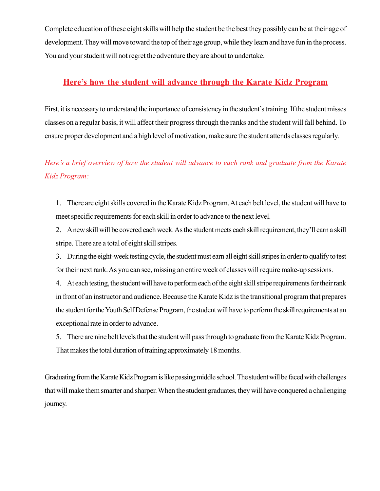Complete education of these eight skills will help the student be the best they possibly can be at their age of development. They will move toward the top of their age group, while they learn and have fun in the process. You and your student will not regret the adventure they are about to undertake.

#### **Here's how the student will advance through the Karate Kidz Program**

First, it is necessary to understand the importance of consistency in the student's training. If the student misses classes on a regular basis, it will affect their progress through the ranks and the student will fall behind. To ensure proper development and a high level of motivation, make sure the student attends classes regularly.

# *Here's a brief overview of how the student will advance to each rank and graduate from the Karate Kidz Program:*

1. There are eight skills covered in the Karate Kidz Program. At each belt level, the student will have to meet specific requirements for each skill in order to advance to the next level.

2. A new skill will be covered each week. As the student meets each skill requirement, they'll earn a skill stripe. There are a total of eight skill stripes.

3. During the eight-week testing cycle, the student must earn all eight skill stripes in order to qualify to test for their next rank. As you can see, missing an entire week of classes will require make-up sessions.

4. At each testing, the student will have to perform each of the eight skill stripe requirements for their rank in front of an instructor and audience. Because the Karate Kidz is the transitional program that prepares the student for the Youth Self Defense Program, the student will have to perform the skill requirements at an exceptional rate in order to advance.

5. There are nine belt levels that the student will pass through to graduate from the Karate Kidz Program. That makes the total duration of training approximately 18 months.

Graduating from the Karate Kidz Program is like passing middle school. The student will be faced with challenges that will make them smarter and sharper. When the student graduates, they will have conquered a challenging journey.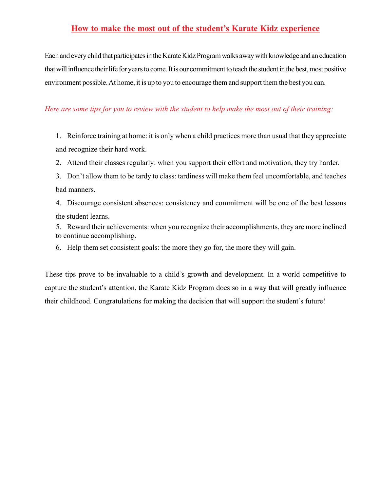### **How to make the most out of the student's Karate Kidz experience**

Each and every child that participates in the Karate Kidz Program walks away with knowledge and an education that will influence their life for years to come. It is our commitment to teach the student in the best, most positive environment possible. At home, it is up to you to encourage them and support them the best you can.

#### *Here are some tips for you to review with the student to help make the most out of their training:*

1. Reinforce training at home: it is only when a child practices more than usual that they appreciate and recognize their hard work.

- 2. Attend their classes regularly: when you support their effort and motivation, they try harder.
- 3. Don't allow them to be tardy to class: tardiness will make them feel uncomfortable, and teaches bad manners.
- 4. Discourage consistent absences: consistency and commitment will be one of the best lessons the student learns.
- 5. Reward their achievements: when you recognize their accomplishments, they are more inclined to continue accomplishing.
- 6. Help them set consistent goals: the more they go for, the more they will gain.

These tips prove to be invaluable to a child's growth and development. In a world competitive to capture the student's attention, the Karate Kidz Program does so in a way that will greatly influence their childhood. Congratulations for making the decision that will support the student's future!